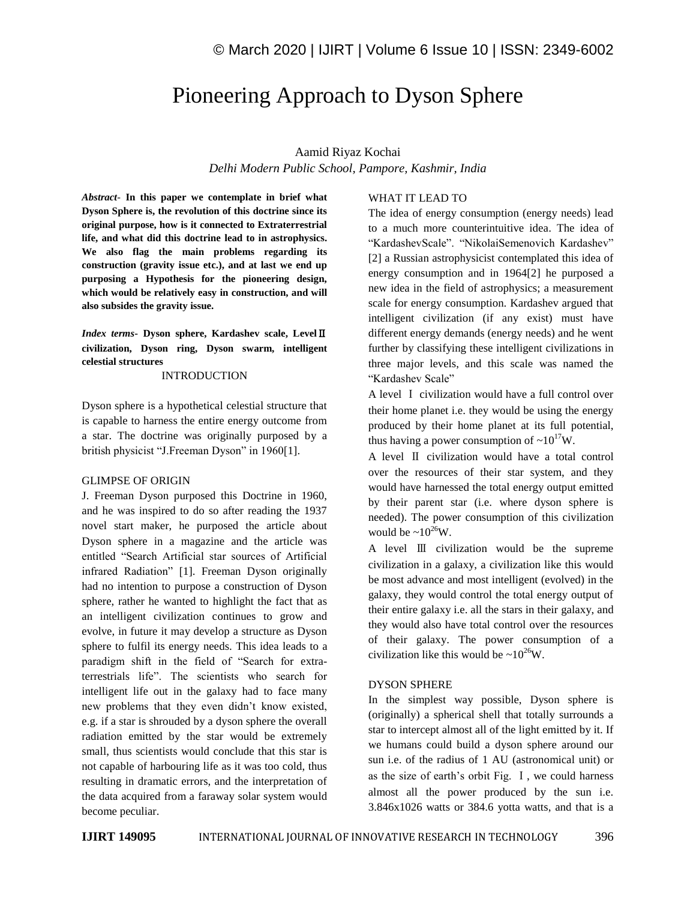# Pioneering Approach to Dyson Sphere

Aamid Riyaz Kochai

*Delhi Modern Public School, Pampore, Kashmir, India*

*Abstract*- **In this paper we contemplate in brief what Dyson Sphere is, the revolution of this doctrine since its original purpose, how is it connected to Extraterrestrial life, and what did this doctrine lead to in astrophysics. We also flag the main problems regarding its construction (gravity issue etc.), and at last we end up purposing a Hypothesis for the pioneering design, which would be relatively easy in construction, and will also subsides the gravity issue.**

*Index terms***- Dyson sphere, Kardashev scale, Level**Ⅱ **civilization, Dyson ring, Dyson swarm, intelligent celestial structures**

## INTRODUCTION

Dyson sphere is a hypothetical celestial structure that is capable to harness the entire energy outcome from a star. The doctrine was originally purposed by a british physicist "J.Freeman Dyson" in 1960[1].

#### GLIMPSE OF ORIGIN

J. Freeman Dyson purposed this Doctrine in 1960, and he was inspired to do so after reading the 1937 novel start maker, he purposed the article about Dyson sphere in a magazine and the article was entitled "Search Artificial star sources of Artificial infrared Radiation" [1]. Freeman Dyson originally had no intention to purpose a construction of Dyson sphere, rather he wanted to highlight the fact that as an intelligent civilization continues to grow and evolve, in future it may develop a structure as Dyson sphere to fulfil its energy needs. This idea leads to a paradigm shift in the field of "Search for extraterrestrials life". The scientists who search for intelligent life out in the galaxy had to face many new problems that they even didn't know existed, e.g. if a star is shrouded by a dyson sphere the overall radiation emitted by the star would be extremely small, thus scientists would conclude that this star is not capable of harbouring life as it was too cold, thus resulting in dramatic errors, and the interpretation of the data acquired from a faraway solar system would become peculiar.

## WHAT IT LEAD TO

The idea of energy consumption (energy needs) lead to a much more counterintuitive idea. The idea of "KardashevScale". "NikolaiSemenovich Kardashev" [2] a Russian astrophysicist contemplated this idea of energy consumption and in 1964[2] he purposed a new idea in the field of astrophysics; a measurement scale for energy consumption. Kardashev argued that intelligent civilization (if any exist) must have different energy demands (energy needs) and he went further by classifying these intelligent civilizations in three major levels, and this scale was named the "Kardashev Scale"

A level Ⅰ civilization would have a full control over their home planet i.e. they would be using the energy produced by their home planet at its full potential, thus having a power consumption of  $\sim 10^{17}$ W.

A level Ⅱ civilization would have a total control over the resources of their star system, and they would have harnessed the total energy output emitted by their parent star (i.e. where dyson sphere is needed). The power consumption of this civilization would be  $\sim 10^{26}$ W.

A level Ⅲ civilization would be the supreme civilization in a galaxy, a civilization like this would be most advance and most intelligent (evolved) in the galaxy, they would control the total energy output of their entire galaxy i.e. all the stars in their galaxy, and they would also have total control over the resources of their galaxy. The power consumption of a civilization like this would be  $\sim 10^{26}$ W.

## DYSON SPHERE

In the simplest way possible, Dyson sphere is (originally) a spherical shell that totally surrounds a star to intercept almost all of the light emitted by it. If we humans could build a dyson sphere around our sun i.e. of the radius of 1 AU (astronomical unit) or as the size of earth's orbit Fig. Ⅰ, we could harness almost all the power produced by the sun i.e. 3.846x1026 watts or 384.6 yotta watts, and that is a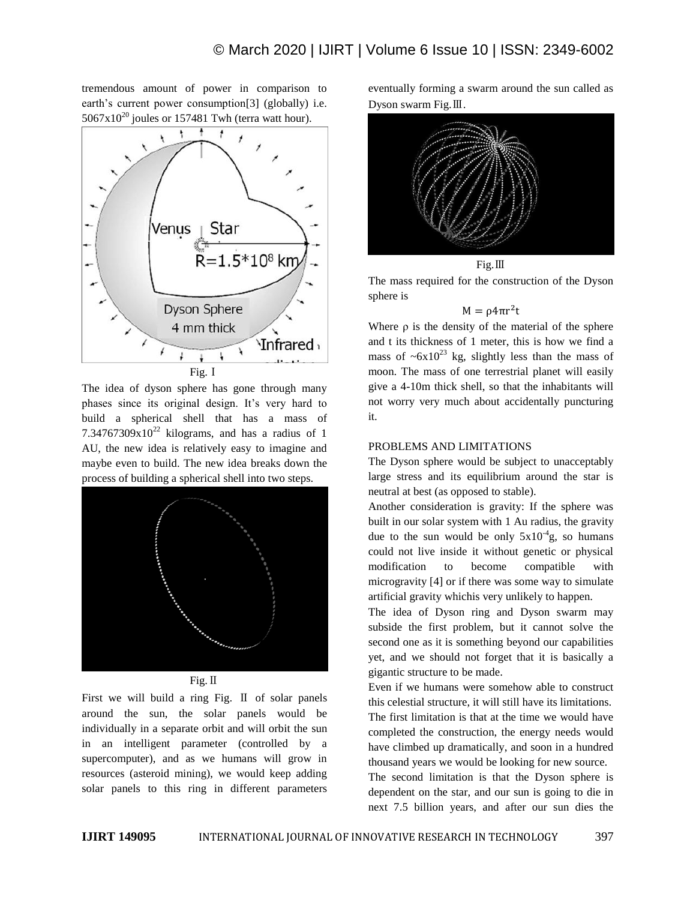tremendous amount of power in comparison to earth's current power consumption[3] (globally) i.e.  $5067x10^{20}$  joules or 157481 Twh (terra watt hour).



The idea of dyson sphere has gone through many phases since its original design. It's very hard to build a spherical shell that has a mass of 7.34767309 $x10^{22}$  kilograms, and has a radius of 1 AU, the new idea is relatively easy to imagine and maybe even to build. The new idea breaks down the process of building a spherical shell into two steps.



Fig.  $\Pi$ 

First we will build a ring Fig. Ⅱ of solar panels around the sun, the solar panels would be individually in a separate orbit and will orbit the sun in an intelligent parameter (controlled by a supercomputer), and as we humans will grow in resources (asteroid mining), we would keep adding solar panels to this ring in different parameters eventually forming a swarm around the sun called as Dyson swarm Fig.Ⅲ.



The mass required for the construction of the Dyson sphere is

### $M = \rho 4\pi r^2 t$

Where  $\rho$  is the density of the material of the sphere and t its thickness of 1 meter, this is how we find a mass of  $\sim 6x10^{23}$  kg, slightly less than the mass of moon. The mass of one terrestrial planet will easily give a 4-10m thick shell, so that the inhabitants will not worry very much about accidentally puncturing it.

## PROBLEMS AND LIMITATIONS

The Dyson sphere would be subject to unacceptably large stress and its equilibrium around the star is neutral at best (as opposed to stable).

Another consideration is gravity: If the sphere was built in our solar system with 1 Au radius, the gravity due to the sun would be only  $5x10^{-4}$ g, so humans could not live inside it without genetic or physical modification to become compatible with microgravity [4] or if there was some way to simulate artificial gravity whichis very unlikely to happen.

The idea of Dyson ring and Dyson swarm may subside the first problem, but it cannot solve the second one as it is something beyond our capabilities yet, and we should not forget that it is basically a gigantic structure to be made.

Even if we humans were somehow able to construct this celestial structure, it will still have its limitations.

The first limitation is that at the time we would have completed the construction, the energy needs would have climbed up dramatically, and soon in a hundred thousand years we would be looking for new source.

The second limitation is that the Dyson sphere is dependent on the star, and our sun is going to die in next 7.5 billion years, and after our sun dies the